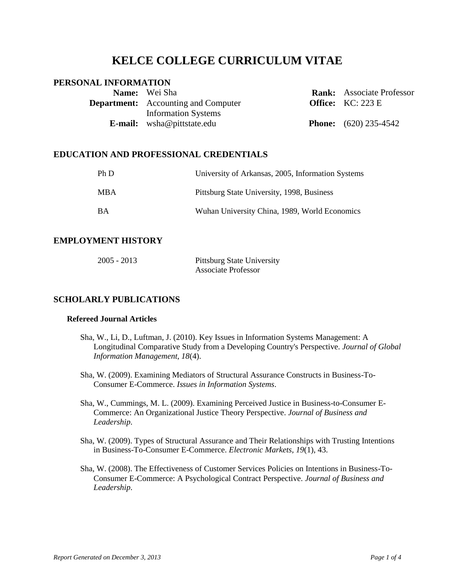# **KELCE COLLEGE CURRICULUM VITAE**

## **PERSONAL INFORMATION**

| <b>Name:</b> Wei Sha                       | <b>Rank:</b> Associate Professor |
|--------------------------------------------|----------------------------------|
| <b>Department:</b> Accounting and Computer | <b>Office:</b> $KC: 223 E$       |
| <b>Information Systems</b>                 |                                  |
| <b>E-mail:</b> wsha@pittstate.edu          | <b>Phone:</b> $(620)$ 235-4542   |

## **EDUCATION AND PROFESSIONAL CREDENTIALS**

| Ph D       | University of Arkansas, 2005, Information Systems |
|------------|---------------------------------------------------|
| <b>MBA</b> | Pittsburg State University, 1998, Business        |
| <b>BA</b>  | Wuhan University China, 1989, World Economics     |

## **EMPLOYMENT HISTORY**

| $2005 - 2013$ | <b>Pittsburg State University</b> |
|---------------|-----------------------------------|
|               | <b>Associate Professor</b>        |

## **SCHOLARLY PUBLICATIONS**

## **Refereed Journal Articles**

- Sha, W., Li, D., Luftman, J. (2010). Key Issues in Information Systems Management: A Longitudinal Comparative Study from a Developing Country's Perspective. *Journal of Global Information Management, 18*(4).
- Sha, W. (2009). Examining Mediators of Structural Assurance Constructs in Business-To-Consumer E-Commerce. *Issues in Information Systems*.
- Sha, W., Cummings, M. L. (2009). Examining Perceived Justice in Business-to-Consumer E-Commerce: An Organizational Justice Theory Perspective. *Journal of Business and Leadership*.
- Sha, W. (2009). Types of Structural Assurance and Their Relationships with Trusting Intentions in Business-To-Consumer E-Commerce. *Electronic Markets, 19*(1), 43.
- Sha, W. (2008). The Effectiveness of Customer Services Policies on Intentions in Business-To-Consumer E-Commerce: A Psychological Contract Perspective. *Journal of Business and Leadership*.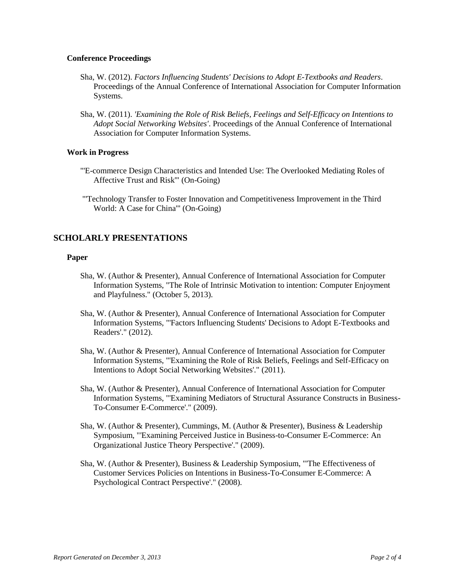#### **Conference Proceedings**

- Sha, W. (2012). *Factors Influencing Students' Decisions to Adopt E-Textbooks and Readers*. Proceedings of the Annual Conference of International Association for Computer Information Systems.
- Sha, W. (2011). *'Examining the Role of Risk Beliefs, Feelings and Self-Efficacy on Intentions to Adopt Social Networking Websites'*. Proceedings of the Annual Conference of International Association for Computer Information Systems.

### **Work in Progress**

- "'E-commerce Design Characteristics and Intended Use: The Overlooked Mediating Roles of Affective Trust and Risk'" (On-Going)
- "'Technology Transfer to Foster Innovation and Competitiveness Improvement in the Third World: A Case for China'" (On-Going)

## **SCHOLARLY PRESENTATIONS**

#### **Paper**

- Sha, W. (Author & Presenter), Annual Conference of International Association for Computer Information Systems, "The Role of Intrinsic Motivation to intention: Computer Enjoyment and Playfulness." (October 5, 2013).
- Sha, W. (Author & Presenter), Annual Conference of International Association for Computer Information Systems, "'Factors Influencing Students' Decisions to Adopt E-Textbooks and Readers'." (2012).
- Sha, W. (Author & Presenter), Annual Conference of International Association for Computer Information Systems, "'Examining the Role of Risk Beliefs, Feelings and Self-Efficacy on Intentions to Adopt Social Networking Websites'." (2011).
- Sha, W. (Author & Presenter), Annual Conference of International Association for Computer Information Systems, "'Examining Mediators of Structural Assurance Constructs in Business-To-Consumer E-Commerce'." (2009).
- Sha, W. (Author & Presenter), Cummings, M. (Author & Presenter), Business & Leadership Symposium, "'Examining Perceived Justice in Business-to-Consumer E-Commerce: An Organizational Justice Theory Perspective'." (2009).
- Sha, W. (Author & Presenter), Business & Leadership Symposium, "'The Effectiveness of Customer Services Policies on Intentions in Business-To-Consumer E-Commerce: A Psychological Contract Perspective'." (2008).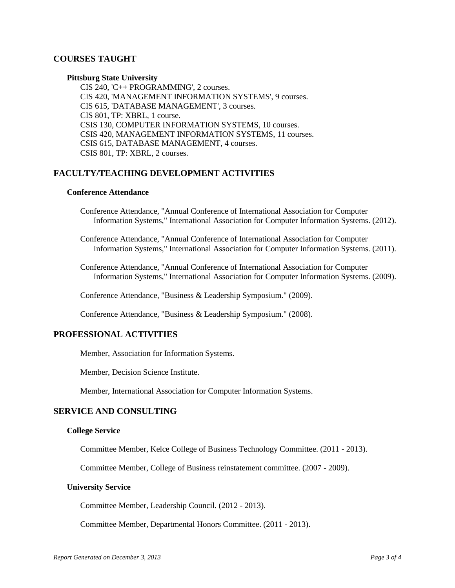## **COURSES TAUGHT**

#### **Pittsburg State University**

CIS 240, 'C++ PROGRAMMING', 2 courses. CIS 420, 'MANAGEMENT INFORMATION SYSTEMS', 9 courses. CIS 615, 'DATABASE MANAGEMENT', 3 courses. CIS 801, TP: XBRL, 1 course. CSIS 130, COMPUTER INFORMATION SYSTEMS, 10 courses. CSIS 420, MANAGEMENT INFORMATION SYSTEMS, 11 courses. CSIS 615, DATABASE MANAGEMENT, 4 courses. CSIS 801, TP: XBRL, 2 courses.

### **FACULTY/TEACHING DEVELOPMENT ACTIVITIES**

#### **Conference Attendance**

Conference Attendance, "Annual Conference of International Association for Computer Information Systems," International Association for Computer Information Systems. (2012).

Conference Attendance, "Annual Conference of International Association for Computer Information Systems," International Association for Computer Information Systems. (2011).

Conference Attendance, "Annual Conference of International Association for Computer Information Systems," International Association for Computer Information Systems. (2009).

Conference Attendance, "Business & Leadership Symposium." (2009).

Conference Attendance, "Business & Leadership Symposium." (2008).

### **PROFESSIONAL ACTIVITIES**

Member, Association for Information Systems.

Member, Decision Science Institute.

Member, International Association for Computer Information Systems.

#### **SERVICE AND CONSULTING**

#### **College Service**

Committee Member, Kelce College of Business Technology Committee. (2011 - 2013).

Committee Member, College of Business reinstatement committee. (2007 - 2009).

#### **University Service**

Committee Member, Leadership Council. (2012 - 2013).

Committee Member, Departmental Honors Committee. (2011 - 2013).